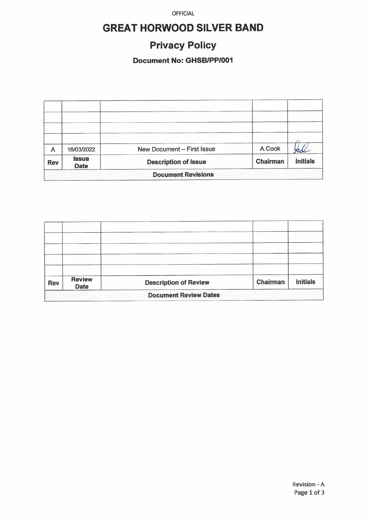#### OFFICIAL

# **GREAT HORWOOD SILVER BAND**

# **Privacy Policy**

### **Document No: GHSB/PP/001**

| A                         | 16/03/2022                  | New Document - First Issue  | A.Cook   |                 |  |  |
|---------------------------|-----------------------------|-----------------------------|----------|-----------------|--|--|
| <b>Rev</b>                | <b>Issue</b><br><b>Date</b> | <b>Description of Issue</b> | Chairman | <b>Initials</b> |  |  |
| <b>Document Revisions</b> |                             |                             |          |                 |  |  |

| <b>Rev</b> | <b>Review</b><br><b>Date</b> | <b>Description of Review</b> | Chairman | <b>Initials</b> |
|------------|------------------------------|------------------------------|----------|-----------------|
|            |                              | <b>Document Review Dates</b> |          |                 |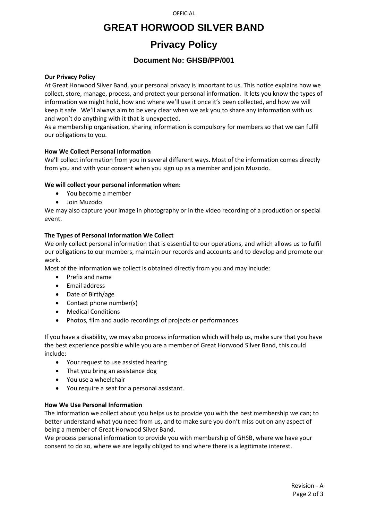**OFFICIAL** 

## **GREAT HORWOOD SILVER BAND**

## **Privacy Policy**

### **Document No: GHSB/PP/001**

#### **Our Privacy Policy**

At Great Horwood Silver Band, your personal privacy is important to us. This notice explains how we collect, store, manage, process, and protect your personal information. It lets you know the types of information we might hold, how and where we'll use it once it's been collected, and how we will keep it safe. We'll always aim to be very clear when we ask you to share any information with us and won't do anything with it that is unexpected.

As a membership organisation, sharing information is compulsory for members so that we can fulfil our obligations to you.

#### **How We Collect Personal Information**

We'll collect information from you in several different ways. Most of the information comes directly from you and with your consent when you sign up as a member and join Muzodo.

#### **We will collect your personal information when:**

- You become a member
- Join Muzodo

We may also capture your image in photography or in the video recording of a production or special event.

#### **The Types of Personal Information We Collect**

We only collect personal information that is essential to our operations, and which allows us to fulfil our obligations to our members, maintain our records and accounts and to develop and promote our work.

Most of the information we collect is obtained directly from you and may include:

- Prefix and name
- Email address
- Date of Birth/age
- Contact phone number(s)
- Medical Conditions
- Photos, film and audio recordings of projects or performances

If you have a disability, we may also process information which will help us, make sure that you have the best experience possible while you are a member of Great Horwood Silver Band, this could include:

- Your request to use assisted hearing
- That you bring an assistance dog
- You use a wheelchair
- You require a seat for a personal assistant.

#### **How We Use Personal Information**

The information we collect about you helps us to provide you with the best membership we can; to better understand what you need from us, and to make sure you don't miss out on any aspect of being a member of Great Horwood Silver Band.

We process personal information to provide you with membership of GHSB, where we have your consent to do so, where we are legally obliged to and where there is a legitimate interest.